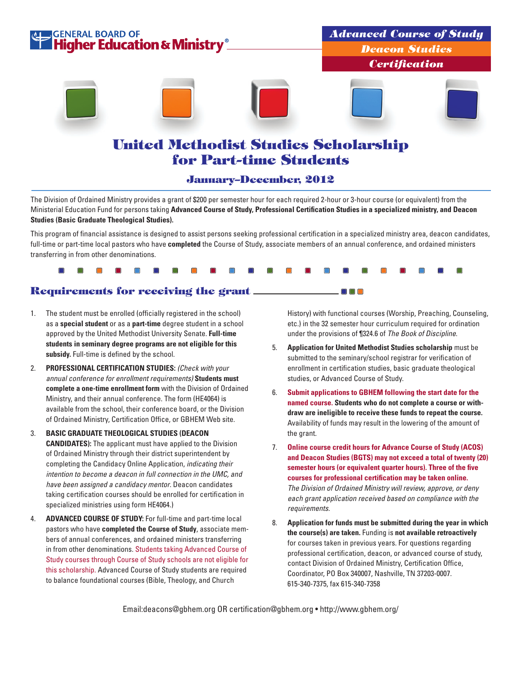

### January–December, 2012

The Division of Ordained Ministry provides a grant of \$200 per semester hour for each required 2-hour or 3-hour course (or equivalent) from the Ministerial Education Fund for persons taking **Advanced Course of Study, Professional Certification Studies in a specialized ministry, and Deacon Studies (Basic Graduate Theological Studies).** 

This program of financial assistance is designed to assist persons seeking professional certification in a specialized ministry area, deacon candidates, full-time or part-time local pastors who have **completed** the Course of Study, associate members of an annual conference, and ordained ministers transferring in from other denominations.

## Requirements for receiving the grant

 $\blacksquare$ 

- 1. The student must be enrolled (officially registered in the school) as a **special student** or as a **part-time** degree student in a school approved by the United Methodist University Senate. **Full-time students in seminary degree programs are not eligible for this subsidy.** Full-time is defined by the school.
- 2. **PROFESSIONAL CERTIFICATION STUDIES:** *(Check with your annual conference for enrollment requirements)* **Students must complete a one-time enrollment form** with the Division of Ordained Ministry, and their annual conference. The form (HE4064) is available from the school, their conference board, or the Division of Ordained Ministry, Certification Office, or GBHEM Web site.
- 3. **BASIC GRADUATE THEOLOGICAL STUDIES (DEACON CANDIDATES):** The applicant must have applied to the Division of Ordained Ministry through their district superintendent by completing the Candidacy Online Application, *indicating their intention to become a deacon in full connection in the UMC, and have been assigned a candidacy mentor*. Deacon candidates taking certification courses should be enrolled for certification in specialized ministries using form HE4064.)
- 4. **ADVANCED COURSE OF STUDY:** For full-time and part-time local pastors who have **completed the Course of Study**, associate members of annual conferences, and ordained ministers transferring in from other denominations. Students taking Advanced Course of Study courses through Course of Study schools are not eligible for this scholarship. Advanced Course of Study students are required to balance foundational courses (Bible, Theology, and Church

History) with functional courses (Worship, Preaching, Counseling, etc.) in the 32 semester hour curriculum required for ordination under the provisions of ¶324.6 of *The Book of Discipline*.

5. **Application for United Methodist Studies scholarship** must be submitted to the seminary/school registrar for verification of enrollment in certification studies, basic graduate theological studies, or Advanced Course of Study.

 $\square$   $\square$   $\square$ 

- 6. **Submit applications to GBHEM following the start date for the named course. Students who do not complete a course or withdraw are ineligible to receive these funds to repeat the course.** Availability of funds may result in the lowering of the amount of the grant.
- 7. **Online course credit hours for Advance Course of Study (ACOS) and Deacon Studies (BGTS) may not exceed a total of twenty (20) semester hours (or equivalent quarter hours). Three of the five courses for professional certification may be taken online.** *The Division of Ordained Ministry will review, approve, or deny each grant application received based on compliance with the requirements.*
- 8. **Application for funds must be submitted during the year in which the course(s) are taken.** Funding is **not available retroactively** for courses taken in previous years. For questions regarding professional certification, deacon, or advanced course of study, contact Division of Ordained Ministry, Certification Office, Coordinator, PO Box 340007, Nashville, TN 37203-0007. 615-340-7375, fax 615-340-7358

Email:deacons@gbhem.org OR certification@gbhem.org • http://www.gbhem.org/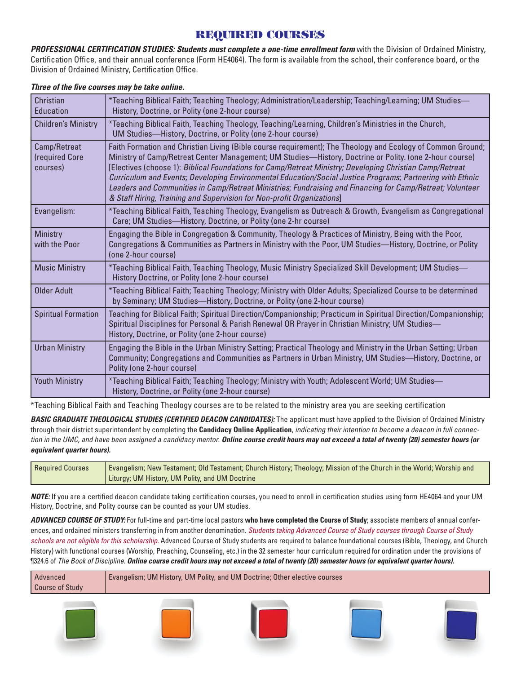# REQUIRED COURSES

*PROFESSIONAL CERTIFICATION STUDIES: Students must complete a one-time enrollment form* with the Division of Ordained Ministry, Certification Office, and their annual conference (Form HE4064). The form is available from the school, their conference board, or the Division of Ordained Ministry, Certification Office.

| Christian<br>Education                     | *Teaching Biblical Faith; Teaching Theology; Administration/Leadership; Teaching/Learning; UM Studies—<br>History, Doctrine, or Polity (one 2-hour course)                                                                                                                                                                                                                                                                                                                                                                                                                                                                             |
|--------------------------------------------|----------------------------------------------------------------------------------------------------------------------------------------------------------------------------------------------------------------------------------------------------------------------------------------------------------------------------------------------------------------------------------------------------------------------------------------------------------------------------------------------------------------------------------------------------------------------------------------------------------------------------------------|
| <b>Children's Ministry</b>                 | *Teaching Biblical Faith, Teaching Theology, Teaching/Learning, Children's Ministries in the Church,<br>UM Studies-History, Doctrine, or Polity (one 2-hour course)                                                                                                                                                                                                                                                                                                                                                                                                                                                                    |
| Camp/Retreat<br>(required Core<br>courses) | Faith Formation and Christian Living (Bible course requirement); The Theology and Ecology of Common Ground;<br>Ministry of Camp/Retreat Center Management; UM Studies—History, Doctrine or Polity. (one 2-hour course)<br>[Electives (choose 1): Biblical Foundations for Camp/Retreat Ministry; Developing Christian Camp/Retreat<br>Curriculum and Events; Developing Environmental Education/Social Justice Programs; Partnering with Ethnic<br>Leaders and Communities in Camp/Retreat Ministries; Fundraising and Financing for Camp/Retreat; Volunteer<br>& Staff Hiring, Training and Supervision for Non-profit Organizations] |
| Evangelism:                                | *Teaching Biblical Faith, Teaching Theology, Evangelism as Outreach & Growth, Evangelism as Congregational<br>Care; UM Studies-History, Doctrine, or Polity (one 2-hr course)                                                                                                                                                                                                                                                                                                                                                                                                                                                          |
| Ministry<br>with the Poor                  | Engaging the Bible in Congregation & Community, Theology & Practices of Ministry, Being with the Poor,<br>Congregations & Communities as Partners in Ministry with the Poor, UM Studies—History, Doctrine, or Polity<br>(one 2-hour course)                                                                                                                                                                                                                                                                                                                                                                                            |
| <b>Music Ministry</b>                      | Feaching Biblical Faith, Teaching Theology, Music Ministry Specialized Skill Development; UM Studies—*<br>History Doctrine, or Polity (one 2-hour course)                                                                                                                                                                                                                                                                                                                                                                                                                                                                              |
| <b>Older Adult</b>                         | *Teaching Biblical Faith; Teaching Theology; Ministry with Older Adults; Specialized Course to be determined<br>by Seminary; UM Studies-History, Doctrine, or Polity (one 2-hour course)                                                                                                                                                                                                                                                                                                                                                                                                                                               |
| <b>Spiritual Formation</b>                 | Teaching for Biblical Faith; Spiritual Direction/Companionship; Practicum in Spiritual Direction/Companionship;<br>Spiritual Disciplines for Personal & Parish Renewal OR Prayer in Christian Ministry; UM Studies-<br>History, Doctrine, or Polity (one 2-hour course)                                                                                                                                                                                                                                                                                                                                                                |
| <b>Urban Ministry</b>                      | Engaging the Bible in the Urban Ministry Setting; Practical Theology and Ministry in the Urban Setting; Urban<br>Community; Congregations and Communities as Partners in Urban Ministry, UM Studies—History, Doctrine, or<br>Polity (one 2-hour course)                                                                                                                                                                                                                                                                                                                                                                                |
| <b>Youth Ministry</b>                      | *Teaching Biblical Faith; Teaching Theology; Ministry with Youth; Adolescent World; UM Studies—<br>History, Doctrine, or Polity (one 2-hour course)                                                                                                                                                                                                                                                                                                                                                                                                                                                                                    |

### *Three of the five courses may be take online.*

\*Teaching Biblical Faith and Teaching Theology courses are to be related to the ministry area you are seeking certification

**BASIC GRADUATE THEOLOGICAL STUDIES (CERTIFIED DEACON CANDIDATES):** The applicant must have applied to the Division of Ordained Ministry through their district superintendent by completing the **Candidacy Online Application**, *indicating their intention to become a deacon in full connection in the UMC, and have been assigned a candidacy mentor*. *Online course credit hours may not exceed a total of twenty (20) semester hours (or equivalent quarter hours).*

| <b>Required Courses</b> | Evangelism; New Testament; Old Testament; Church History; Theology; Mission of the Church in the World; Worship and |  |  |  |
|-------------------------|---------------------------------------------------------------------------------------------------------------------|--|--|--|
|                         | Liturgy; UM History, UM Polity, and UM Doctrine                                                                     |  |  |  |

*NOTE:* If you are a certified deacon candidate taking certification courses, you need to enroll in certification studies using form HE4064 and your UM History, Doctrine, and Polity course can be counted as your UM studies.

*ADVANCED COURSE OF STUDY:* For full-time and part-time local pastors **who have completed the Course of Study**; associate members of annual conferences, and ordained ministers transferring in from another denomination. *Students taking Advanced Course of Study courses through Course of Study schools are not eligible for this scholarship.* Advanced Course of Study students are required to balance foundational courses (Bible, Theology, and Church History) with functional courses (Worship, Preaching, Counseling, etc.) in the 32 semester hour curriculum required for ordination under the provisions of ¶324.6 of *The Book of Discipline*. *Online course credit hours may not exceed a total of twenty (20) semester hours (or equivalent quarter hours).*











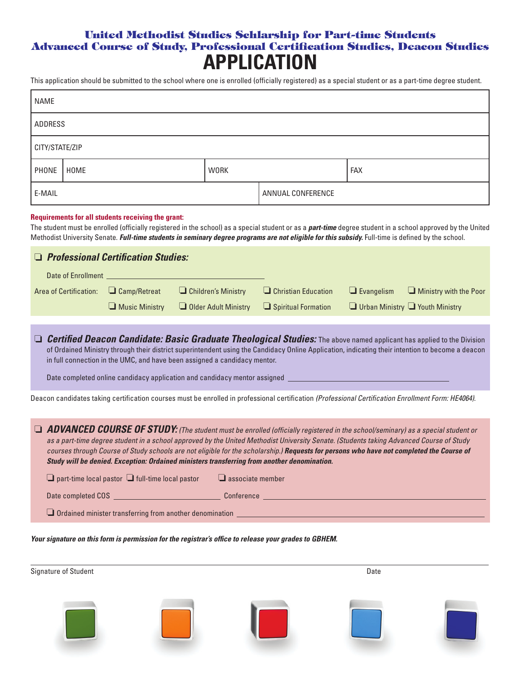# United Methodist Studies Schlarship for Part-time Students Advanced Course of Study, Professional Certification Studies, Deacon Studies **APPLICATION**

This application should be submitted to the school where one is enrolled (officially registered) as a special student or as a part-time degree student.

| <b>NAME</b>    |      |             |                   |     |
|----------------|------|-------------|-------------------|-----|
| ADDRESS        |      |             |                   |     |
| CITY/STATE/ZIP |      |             |                   |     |
| PHONE          | HOME | <b>WORK</b> |                   | FAX |
| E-MAIL         |      |             | ANNUAL CONFERENCE |     |

#### **Requirements for all students receiving the grant:**

The student must be enrolled (officially registered in the school) as a special student or as a *part-time* degree student in a school approved by the United Methodist University Senate. *Full-time students in seminary degree programs are not eligible for this subsidy.* Full-time is defined by the school.

### ❏ *Professional Certification Studies:*

| Date of Enrollment                    |                                                                              |                                                                                                                                                                                                                                 |                                 |
|---------------------------------------|------------------------------------------------------------------------------|---------------------------------------------------------------------------------------------------------------------------------------------------------------------------------------------------------------------------------|---------------------------------|
| Area of Certification: 4 Camp/Retreat |                                                                              | <b>Children's Ministry Children's Ministry Children's Ministry </b> Children's Ministry <b>Children</b> Evangelism <b>Children Children Children</b> Evangelism <b>Children Children Children Children Children Children Ch</b> |                                 |
|                                       | $\Box$ Music Ministry $\Box$ Older Adult Ministry $\Box$ Spiritual Formation |                                                                                                                                                                                                                                 | Urban Ministry U Youth Ministry |

❏ *Certified Deacon Candidate: Basic Graduate Theological Studies:* The above named applicant has applied to the Division of Ordained Ministry through their district superintendent using the Candidacy Online Application, indicating their intention to become a deacon in full connection in the UMC, and have been assigned a candidacy mentor.

Date completed online candidacy application and candidacy mentor assigned

Deacon candidates taking certification courses must be enrolled in professional certification *(Professional Certification Enrollment Form: HE4064)*.

❏ *ADVANCED COURSE OF STUDY: (The student must be enrolled (officially registered in the school/seminary) as a special student or as a part-time degree student in a school approved by the United Methodist University Senate. (Students taking Advanced Course of Study courses through Course of Study schools are not eligible for the scholarship.) Requests for persons who have not completed the Course of Study will be denied. Exception: Ordained ministers transferring from another denomination.*

| $\Box$ part-time local pastor $\Box$ full-time local pastor     | $\Box$ associate member |  |  |
|-----------------------------------------------------------------|-------------------------|--|--|
| Date completed COS                                              | Conference              |  |  |
| $\Box$ Ordained minister transferring from another denomination |                         |  |  |

*Your signature on this form is permission for the registrar's office to release your grades to GBHEM.*